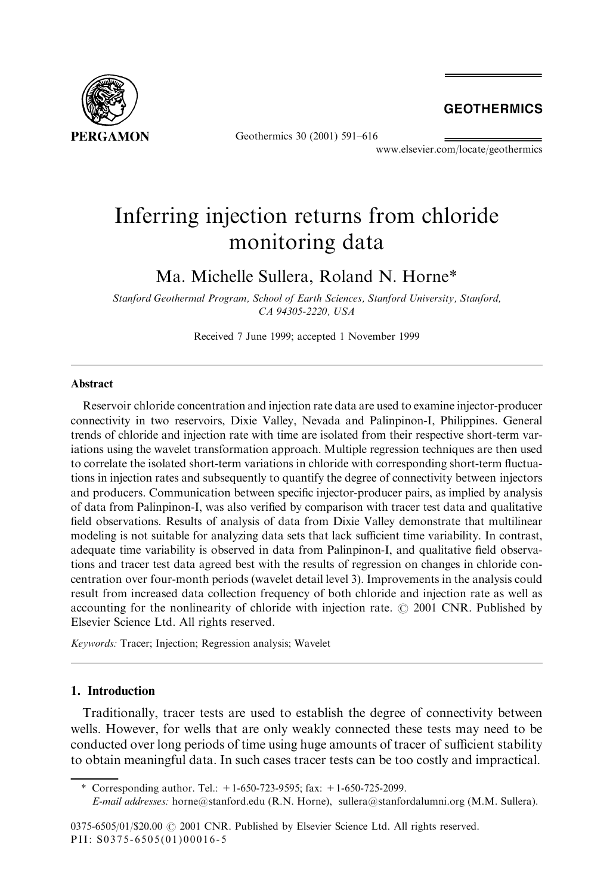

Geothermics 30 (2001) 591–616

**GEOTHERMICS** 

www.elsevier.com/locate/geothermics

# Inferring injection returns from chloride monitoring data

Ma. Michelle Sullera, Roland N. Horne\*

Stanford Geothermal Program, School of Earth Sciences, Stanford University, Stanford, CA 94305-2220, USA

Received 7 June 1999; accepted 1 November 1999

#### Abstract

Reservoir chloride concentration and injection rate data are used to examine injector-producer connectivity in two reservoirs, Dixie Valley, Nevada and Palinpinon-I, Philippines. General trends of chloride and injection rate with time are isolated from their respective short-term variations using the wavelet transformation approach. Multiple regression techniques are then used to correlate the isolated short-term variations in chloride with corresponding short-term fluctuations in injection rates and subsequently to quantify the degree of connectivity between injectors and producers. Communication between specific injector-producer pairs, as implied by analysis of data from Palinpinon-I, was also verified by comparison with tracer test data and qualitative field observations. Results of analysis of data from Dixie Valley demonstrate that multilinear modeling is not suitable for analyzing data sets that lack sufficient time variability. In contrast, adequate time variability is observed in data from Palinpinon-I, and qualitative field observations and tracer test data agreed best with the results of regression on changes in chloride concentration over four-month periods (wavelet detail level 3). Improvements in the analysis could result from increased data collection frequency of both chloride and injection rate as well as accounting for the nonlinearity of chloride with injection rate.  $\odot$  2001 CNR. Published by Elsevier Science Ltd. All rights reserved.

Keywords: Tracer; Injection; Regression analysis; Wavelet

## 1. Introduction

Traditionally, tracer tests are used to establish the degree of connectivity between wells. However, for wells that are only weakly connected these tests may need to be conducted over long periods of time using huge amounts of tracer of sufficient stability to obtain meaningful data. In such cases tracer tests can be too costly and impractical.

<sup>\*</sup> Corresponding author. Tel.:  $+1-650-723-9595$ ; fax:  $+1-650-725-2099$ .

E-mail addresses: horne@stanford.edu (R.N. Horne), sullera@stanfordalumni.org (M.M. Sullera).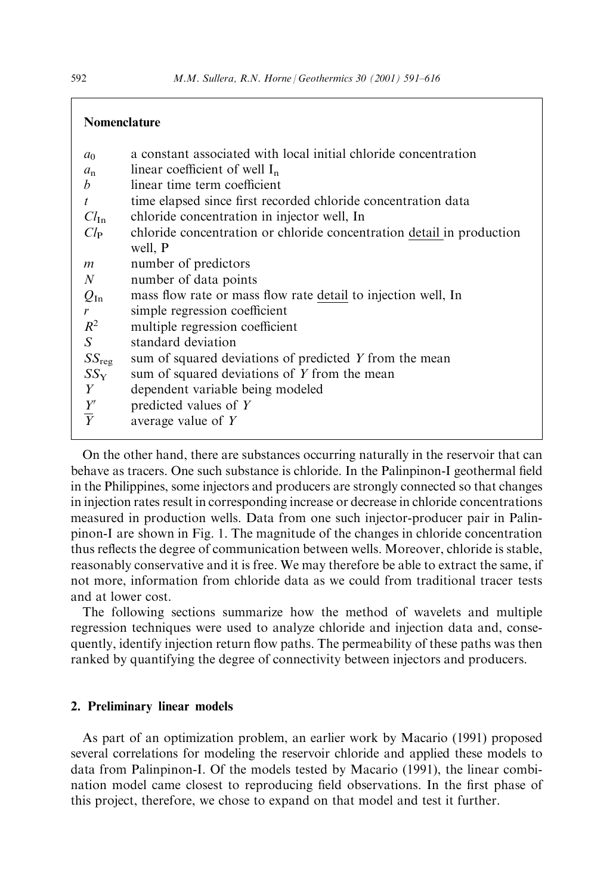| <b>Nomenclature</b>                                                                                           |                                                                                                                                                                                                                                                                                                                                                                                                                  |
|---------------------------------------------------------------------------------------------------------------|------------------------------------------------------------------------------------------------------------------------------------------------------------------------------------------------------------------------------------------------------------------------------------------------------------------------------------------------------------------------------------------------------------------|
| a <sub>0</sub><br>$a_n$<br>$\boldsymbol{b}$<br>$\mathbf{f}$<br>Cl <sub>In</sub><br>$Cl_{\rm P}$               | a constant associated with local initial chloride concentration<br>linear coefficient of well $I_n$<br>linear time term coefficient<br>time elapsed since first recorded chloride concentration data<br>chloride concentration in injector well, In<br>chloride concentration or chloride concentration detail in production                                                                                     |
| m<br>N<br>$Q_{\text{In}}$<br>r<br>$R^2$<br>S<br>$SS_{reg}$<br>$SS_{Y}$<br>Y<br>$Y^{\prime}$<br>$\overline{Y}$ | well, P<br>number of predictors<br>number of data points<br>mass flow rate or mass flow rate detail to injection well, In<br>simple regression coefficient<br>multiple regression coefficient<br>standard deviation<br>sum of squared deviations of predicted Y from the mean<br>sum of squared deviations of Y from the mean<br>dependent variable being modeled<br>predicted values of Y<br>average value of Y |

On the other hand, there are substances occurring naturally in the reservoir that can behave as tracers. One such substance is chloride. In the Palinpinon-I geothermal field in the Philippines, some injectors and producers are strongly connected so that changes in injection rates result in corresponding increase or decrease in chloride concentrations measured in production wells. Data from one such injector-producer pair in Palinpinon-I are shown in Fig. 1. The magnitude of the changes in chloride concentration thus reflects the degree of communication between wells. Moreover, chloride is stable, reasonably conservative and it is free. We may therefore be able to extract the same, if not more, information from chloride data as we could from traditional tracer tests and at lower cost.

The following sections summarize how the method of wavelets and multiple regression techniques were used to analyze chloride and injection data and, consequently, identify injection return flow paths. The permeability of these paths was then ranked by quantifying the degree of connectivity between injectors and producers.

# 2. Preliminary linear models

As part of an optimization problem, an earlier work by Macario (1991) proposed several correlations for modeling the reservoir chloride and applied these models to data from Palinpinon-I. Of the models tested by Macario (1991), the linear combination model came closest to reproducing field observations. In the first phase of this project, therefore, we chose to expand on that model and test it further.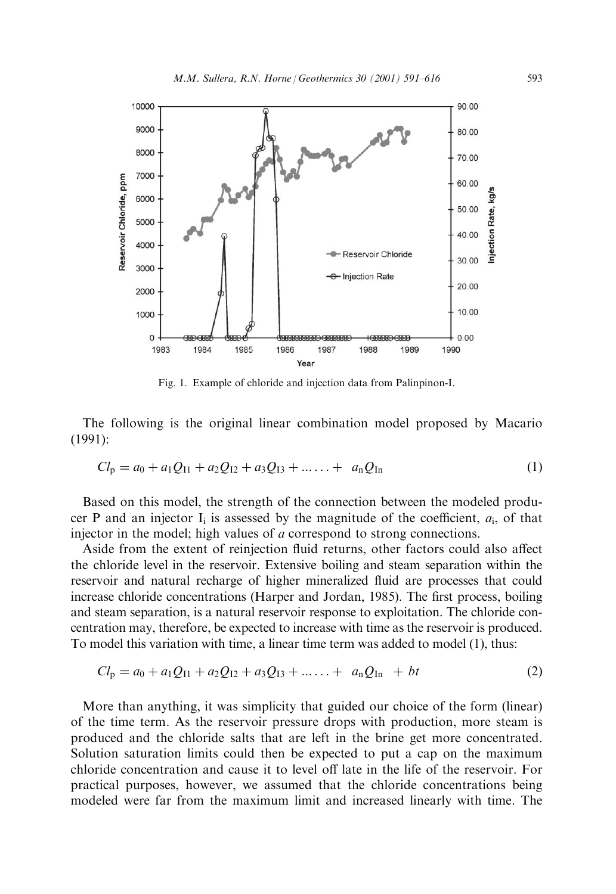

Fig. 1. Example of chloride and injection data from Palinpinon-I.

The following is the original linear combination model proposed by Macario (1991):

$$
Cl_{p} = a_{0} + a_{1}Q_{11} + a_{2}Q_{12} + a_{3}Q_{13} + \dots + a_{n}Q_{1n}
$$
 (1)

Based on this model, the strength of the connection between the modeled producer P and an injector  $I_i$  is assessed by the magnitude of the coefficient,  $a_i$ , of that injector in the model; high values of  $a$  correspond to strong connections.

Aside from the extent of reinjection fluid returns, other factors could also affect the chloride level in the reservoir. Extensive boiling and steam separation within the reservoir and natural recharge of higher mineralized fluid are processes that could increase chloride concentrations (Harper and Jordan, 1985). The first process, boiling and steam separation, is a natural reservoir response to exploitation. The chloride concentration may, therefore, be expected to increase with time as the reservoir is produced. To model this variation with time, a linear time term was added to model (1), thus:

$$
Cl_{p} = a_{0} + a_{1}Q_{11} + a_{2}Q_{12} + a_{3}Q_{13} + \dots + a_{n}Q_{1n} + bt
$$
 (2)

More than anything, it was simplicity that guided our choice of the form (linear) of the time term. As the reservoir pressure drops with production, more steam is produced and the chloride salts that are left in the brine get more concentrated. Solution saturation limits could then be expected to put a cap on the maximum chloride concentration and cause it to level off late in the life of the reservoir. For practical purposes, however, we assumed that the chloride concentrations being modeled were far from the maximum limit and increased linearly with time. The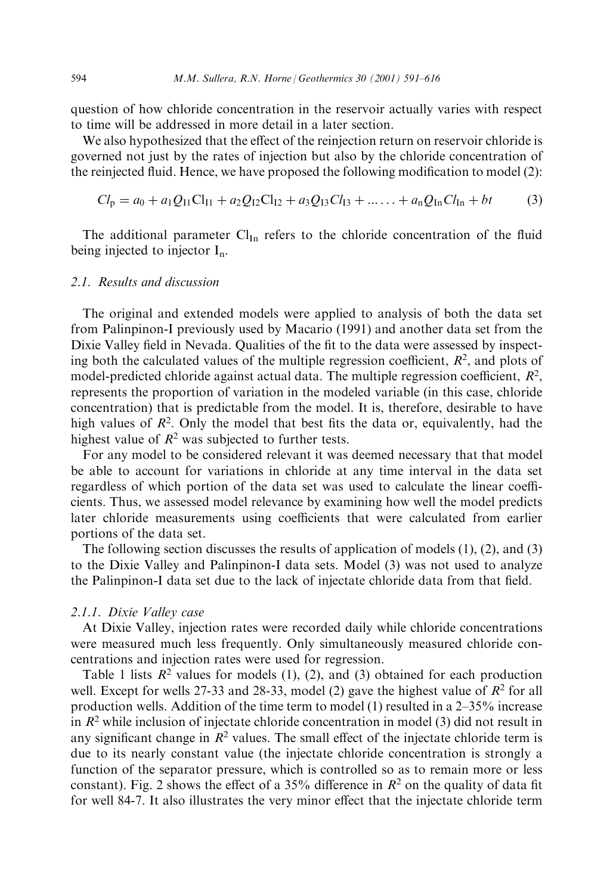question of how chloride concentration in the reservoir actually varies with respect to time will be addressed in more detail in a later section.

We also hypothesized that the effect of the reinjection return on reservoir chloride is governed not just by the rates of injection but also by the chloride concentration of the reinjected fluid. Hence, we have proposed the following modification to model (2):

$$
Cl_{p} = a_{0} + a_{1}Q_{I1}Cl_{I1} + a_{2}Q_{I2}Cl_{I2} + a_{3}Q_{I3}Cl_{I3} + \dots + a_{n}Q_{In}Cl_{In} + bt
$$
 (3)

The additional parameter  $Cl<sub>In</sub>$  refers to the chloride concentration of the fluid being injected to injector  $I_n$ .

## 2.1. Results and discussion

The original and extended models were applied to analysis of both the data set from Palinpinon-I previously used by Macario (1991) and another data set from the Dixie Valley field in Nevada. Qualities of the fit to the data were assessed by inspecting both the calculated values of the multiple regression coefficient,  $R^2$ , and plots of model-predicted chloride against actual data. The multiple regression coefficient,  $R^2$ , represents the proportion of variation in the modeled variable (in this case, chloride concentration) that is predictable from the model. It is, therefore, desirable to have high values of  $R^2$ . Only the model that best fits the data or, equivalently, had the highest value of  $R^2$  was subjected to further tests.

For any model to be considered relevant it was deemed necessary that that model be able to account for variations in chloride at any time interval in the data set regardless of which portion of the data set was used to calculate the linear coefficients. Thus, we assessed model relevance by examining how well the model predicts later chloride measurements using coefficients that were calculated from earlier portions of the data set.

The following section discusses the results of application of models (1), (2), and (3) to the Dixie Valley and Palinpinon-I data sets. Model (3) was not used to analyze the Palinpinon-I data set due to the lack of injectate chloride data from that field.

## 2.1.1. Dixie Valley case

At Dixie Valley, injection rates were recorded daily while chloride concentrations were measured much less frequently. Only simultaneously measured chloride concentrations and injection rates were used for regression.

Table 1 lists  $R^2$  values for models (1), (2), and (3) obtained for each production well. Except for wells 27-33 and 28-33, model (2) gave the highest value of  $R^2$  for all production wells. Addition of the time term to model (1) resulted in a 2–35% increase in  $R<sup>2</sup>$  while inclusion of injectate chloride concentration in model (3) did not result in any significant change in  $R<sup>2</sup>$  values. The small effect of the injectate chloride term is due to its nearly constant value (the injectate chloride concentration is strongly a function of the separator pressure, which is controlled so as to remain more or less constant). Fig. 2 shows the effect of a 35% difference in  $R^2$  on the quality of data fit for well 84-7. It also illustrates the very minor effect that the injectate chloride term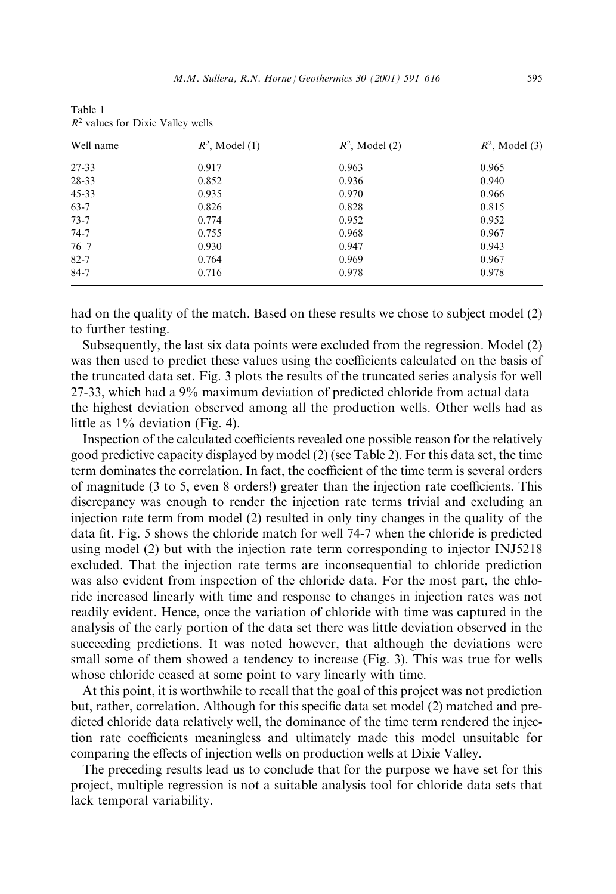| Well name | $R^2$ , Model (1) | $R^2$ , Model (2) | $R^2$ , Model (3) |
|-----------|-------------------|-------------------|-------------------|
| 27-33     | 0.917             | 0.963             | 0.965             |
| 28-33     | 0.852             | 0.936             | 0.940             |
| $45 - 33$ | 0.935             | 0.970             | 0.966             |
| $63 - 7$  | 0.826             | 0.828             | 0.815             |
| $73 - 7$  | 0.774             | 0.952             | 0.952             |
| $74-7$    | 0.755             | 0.968             | 0.967             |
| $76 - 7$  | 0.930             | 0.947             | 0.943             |
| $82 - 7$  | 0.764             | 0.969             | 0.967             |
| $84 - 7$  | 0.716             | 0.978             | 0.978             |

Table 1  $R<sup>2</sup>$  values for Dixie Valley wells

had on the quality of the match. Based on these results we chose to subject model (2) to further testing.

Subsequently, the last six data points were excluded from the regression. Model  $(2)$ was then used to predict these values using the coefficients calculated on the basis of the truncated data set. Fig. 3 plots the results of the truncated series analysis for well 27-33, which had a 9% maximum deviation of predicted chloride from actual data the highest deviation observed among all the production wells. Other wells had as little as 1% deviation (Fig. 4).

Inspection of the calculated coefficients revealed one possible reason for the relatively good predictive capacity displayed by model (2) (see Table 2). For this data set, the time term dominates the correlation. In fact, the coefficient of the time term is several orders of magnitude (3 to 5, even 8 orders!) greater than the injection rate coefficients. This discrepancy was enough to render the injection rate terms trivial and excluding an injection rate term from model (2) resulted in only tiny changes in the quality of the data fit. Fig. 5 shows the chloride match for well 74-7 when the chloride is predicted using model (2) but with the injection rate term corresponding to injector INJ5218 excluded. That the injection rate terms are inconsequential to chloride prediction was also evident from inspection of the chloride data. For the most part, the chloride increased linearly with time and response to changes in injection rates was not readily evident. Hence, once the variation of chloride with time was captured in the analysis of the early portion of the data set there was little deviation observed in the succeeding predictions. It was noted however, that although the deviations were small some of them showed a tendency to increase (Fig. 3). This was true for wells whose chloride ceased at some point to vary linearly with time.

At this point, it is worthwhile to recall that the goal of this project was not prediction but, rather, correlation. Although for this specific data set model (2) matched and predicted chloride data relatively well, the dominance of the time term rendered the injection rate coefficients meaningless and ultimately made this model unsuitable for comparing the effects of injection wells on production wells at Dixie Valley.

The preceding results lead us to conclude that for the purpose we have set for this project, multiple regression is not a suitable analysis tool for chloride data sets that lack temporal variability.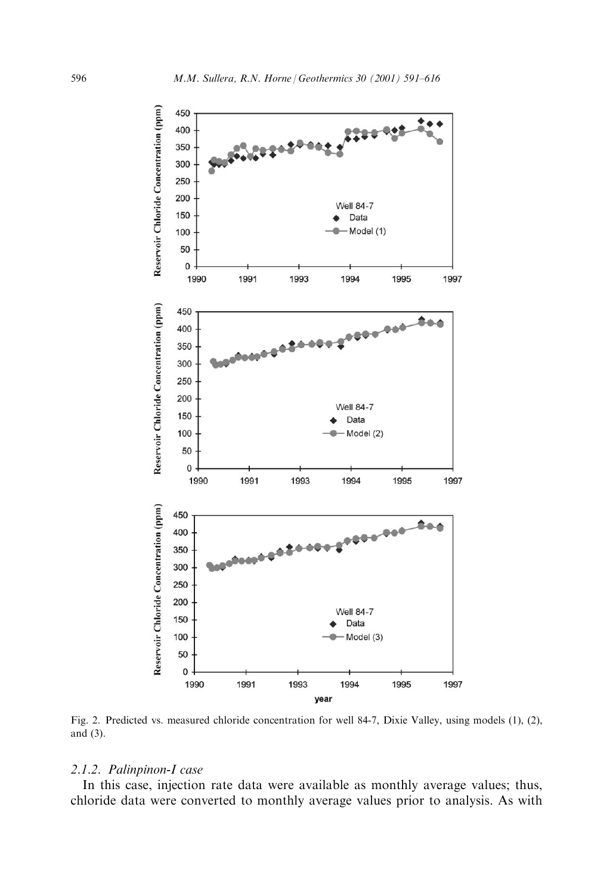

Fig. 2. Predicted vs. measured chloride concentration for well 84-7, Dixie Valley, using models (1), (2), and (3).

## 2.1.2. Palinpinon-I case

In this case, injection rate data were available as monthly average values; thus, chloride data were converted to monthly average values prior to analysis. As with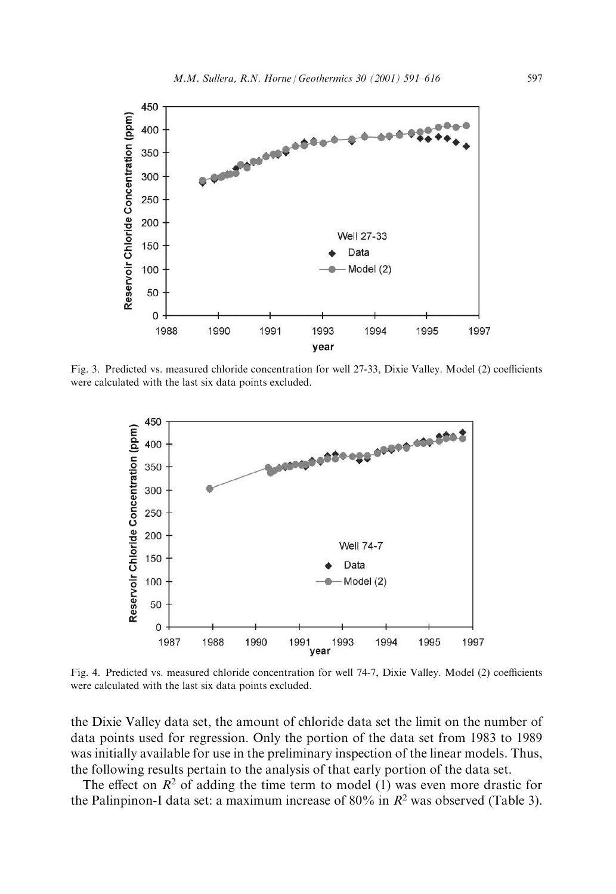

Fig. 3. Predicted vs. measured chloride concentration for well 27-33, Dixie Valley. Model (2) coefficients were calculated with the last six data points excluded.



Fig. 4. Predicted vs. measured chloride concentration for well 74-7, Dixie Valley. Model (2) coefficients were calculated with the last six data points excluded.

the Dixie Valley data set, the amount of chloride data set the limit on the number of data points used for regression. Only the portion of the data set from 1983 to 1989 was initially available for use in the preliminary inspection of the linear models. Thus, the following results pertain to the analysis of that early portion of the data set.

The effect on  $\mathbb{R}^2$  of adding the time term to model (1) was even more drastic for the Palinpinon-I data set: a maximum increase of 80% in  $R^2$  was observed (Table 3).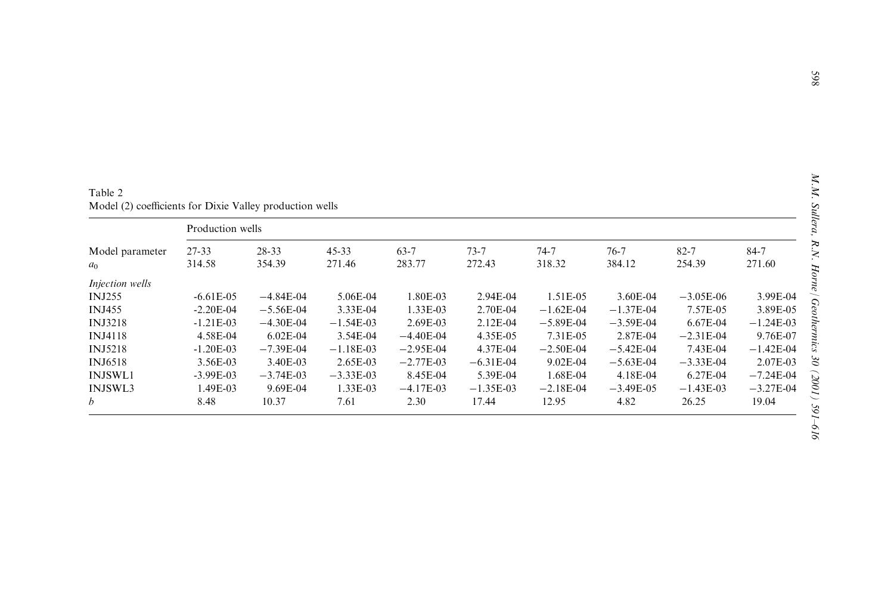|        | $84 - 7$ |
|--------|----------|
|        | 271.60   |
|        |          |
| E-06   | 3.99I    |
| $3-05$ | 3.89I    |
| $-04$  | $-1.24$  |
| $-04$  | 9.761    |
| $-04$  | $-1.421$ |
| $-04$  | 2.071    |
| $-04$  | $-7.241$ |
| $E-03$ | $-3.271$ |
|        | 19.04    |
|        |          |

# Table 2Model (2) coefficients for Dixie Valley production wells

| Model parameter<br>a <sub>0</sub> | Production wells    |                     |                     |                    |                    |                |                |                    |                |
|-----------------------------------|---------------------|---------------------|---------------------|--------------------|--------------------|----------------|----------------|--------------------|----------------|
|                                   | $27 - 33$<br>314.58 | $28 - 33$<br>354.39 | $45 - 33$<br>271.46 | $63 - 7$<br>283.77 | $73 - 7$<br>272.43 | 74-7<br>318.32 | 76-7<br>384.12 | $82 - 7$<br>254.39 | 84-7<br>271.60 |
| <i>Injection</i> wells            |                     |                     |                     |                    |                    |                |                |                    |                |
| <b>INJ255</b>                     | $-6.61E-05$         | $-4.84E-04$         | 5.06E-04            | 1.80E-03           | $2.94E-04$         | 1.51E-05       | $3.60E-04$     | $-3.05E-06$        | 3.99E-04       |
| <b>INJ455</b>                     | $-2.20E-04$         | $-5.56E-04$         | $3.33E-04$          | 1.33E-03           | $2.70E-04$         | $-1.62E-04$    | $-1.37E-04$    | 7.57E-05           | 3.89E-05       |
| <b>INJ3218</b>                    | $-1.21E-03$         | $-4.30E-04$         | $-1.54E-03$         | $2.69E-03$         | $2.12E-04$         | $-5.89E-04$    | $-3.59E-04$    | $6.67E-04$         | $-1.24E-03$    |
| <b>INJ4118</b>                    | 4.58E-04            | $6.02E-04$          | $3.54E-04$          | $-4.40E-04$        | 4.35E-05           | 7.31E-05       | 2.87E-04       | $-2.31E-04$        | 9.76E-07       |
| <b>INJ5218</b>                    | $-1.20E-03$         | $-7.39E-04$         | $-1.18E-03$         | $-2.95E-04$        | 4.37E-04           | $-2.50E-04$    | $-5.42E-04$    | $7.43E-04$         | $-1.42E-04$    |
| <b>INJ6518</b>                    | 3.56E-03            | $3.40E-03$          | 2.65E-03            | $-2.77E-03$        | $-6.31E-04$        | $9.02E - 04$   | $-5.63E-04$    | $-3.33E-04$        | 2.07E-03       |
| <b>INJSWL1</b>                    | $-3.99E-03$         | $-3.74E-03$         | $-3.33E-03$         | 8.45E-04           | 5.39E-04           | 1.68E-04       | 4.18E-04       | $6.27E-04$         | $-7.24E-04$    |
| INJSWL3                           | 1.49E-03            | 9.69E-04            | 1.33E-03            | $-4.17E-03$        | $-1.35E-03$        | $-2.18E-04$    | $-3.49E-05$    | $-1.43E-03$        | $-3.27E-04$    |
| h                                 | 8.48                | 10.37               | 7.61                | 2.30               | 17.44              | 12.95          | 4.82           | 26.25              | 19.04          |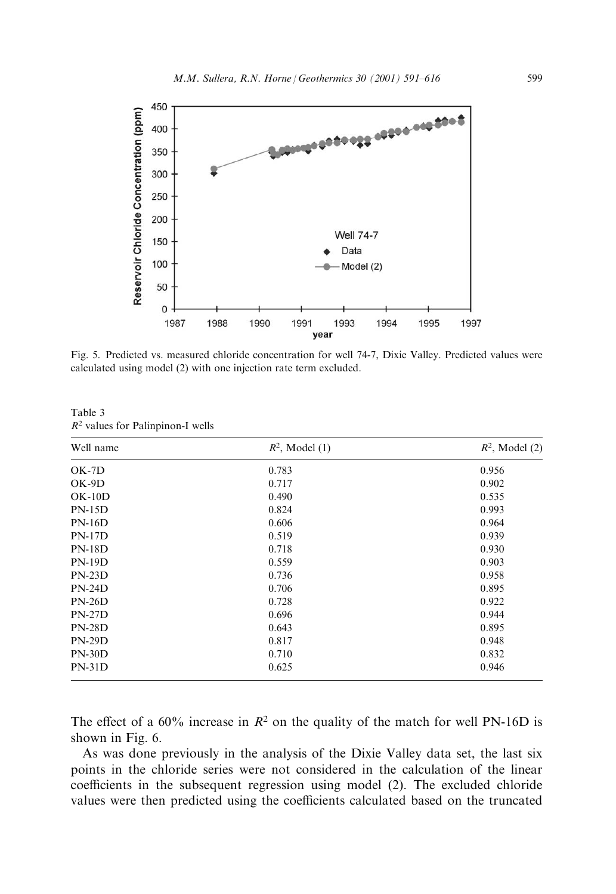

Fig. 5. Predicted vs. measured chloride concentration for well 74-7, Dixie Valley. Predicted values were calculated using model (2) with one injection rate term excluded.

| $R^2$ values for Palinpinon-I wells |                   |           |  |
|-------------------------------------|-------------------|-----------|--|
| Well name                           | $R^2$ , Model (1) | $R^2$ , N |  |
| $OK-7D$                             | 0.783             | 0.956     |  |
| $OK-9D$                             | 0.717             | 0.902     |  |
| $OK-10D$                            | 0.490             | 0.535     |  |
| $PN-15D$                            | 0.824             | 0.993     |  |
| $PN-16D$                            | 0.606             | 0.964     |  |
| $PN-17D$                            | 0.519             | 0.939     |  |

Table 3  $R<sup>2</sup>$  values for Palinpinon-I wells

The effect of a  $60\%$  increase in  $R^2$  on the quality of the match for well PN-16D is shown in Fig. 6.

PN-18D 0.930 0.718 0.930 PN-19D 0.559 0.903 PN-23D 0.736 0.958 PN-24D 0.706 0.895 PN-26D 0.728 0.922 PN-27D 0.696 0.944 PN-28D 0.643 0.895 PN-29D 0.817 0.948 PN-30D 0.832 PN-31D 0.625 0.946

As was done previously in the analysis of the Dixie Valley data set, the last six points in the chloride series were not considered in the calculation of the linear coefficients in the subsequent regression using model (2). The excluded chloride values were then predicted using the coefficients calculated based on the truncated

 $R^2$ , Model (2)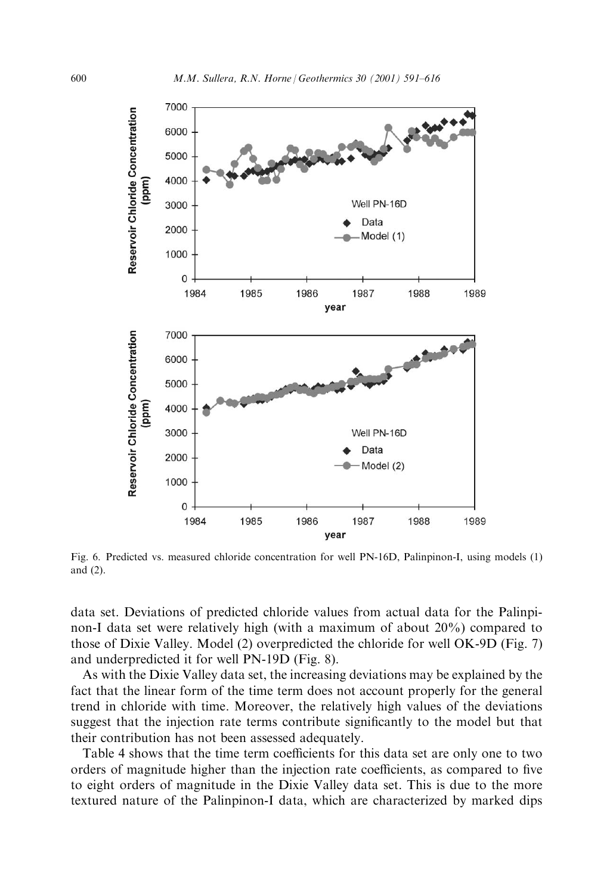

Fig. 6. Predicted vs. measured chloride concentration for well PN-16D, Palinpinon-I, using models (1) and (2).

data set. Deviations of predicted chloride values from actual data for the Palinpinon-I data set were relatively high (with a maximum of about 20%) compared to those of Dixie Valley. Model (2) overpredicted the chloride for well OK-9D (Fig. 7) and underpredicted it for well PN-19D (Fig. 8).

As with the Dixie Valley data set, the increasing deviations may be explained by the fact that the linear form of the time term does not account properly for the general trend in chloride with time. Moreover, the relatively high values of the deviations suggest that the injection rate terms contribute significantly to the model but that their contribution has not been assessed adequately.

Table 4 shows that the time term coefficients for this data set are only one to two orders of magnitude higher than the injection rate coefficients, as compared to five to eight orders of magnitude in the Dixie Valley data set. This is due to the more textured nature of the Palinpinon-I data, which are characterized by marked dips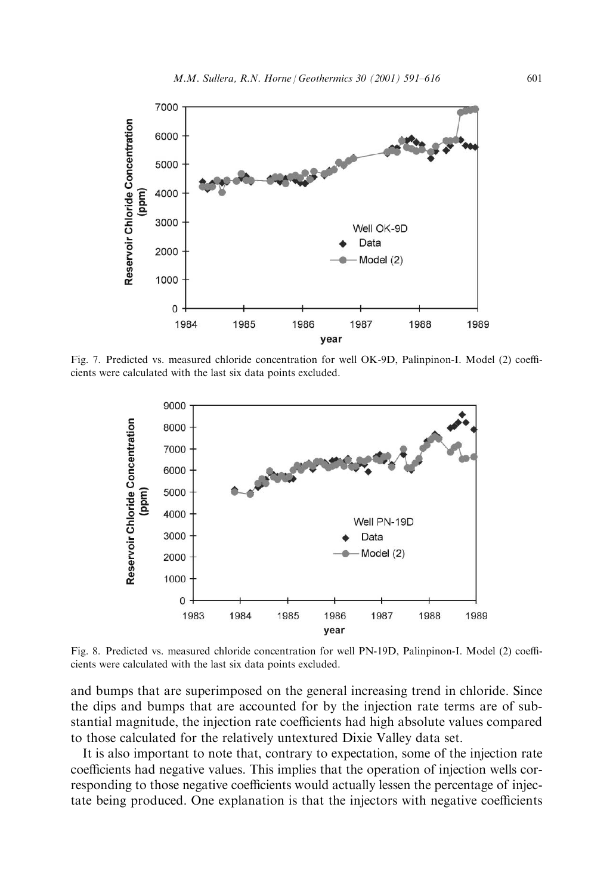

Fig. 7. Predicted vs. measured chloride concentration for well OK-9D, Palinpinon-I. Model (2) coefficients were calculated with the last six data points excluded.



Fig. 8. Predicted vs. measured chloride concentration for well PN-19D, Palinpinon-I. Model (2) coefficients were calculated with the last six data points excluded.

and bumps that are superimposed on the general increasing trend in chloride. Since the dips and bumps that are accounted for by the injection rate terms are of substantial magnitude, the injection rate coefficients had high absolute values compared to those calculated for the relatively untextured Dixie Valley data set.

It is also important to note that, contrary to expectation, some of the injection rate coefficients had negative values. This implies that the operation of injection wells corresponding to those negative coefficients would actually lessen the percentage of injectate being produced. One explanation is that the injectors with negative coefficients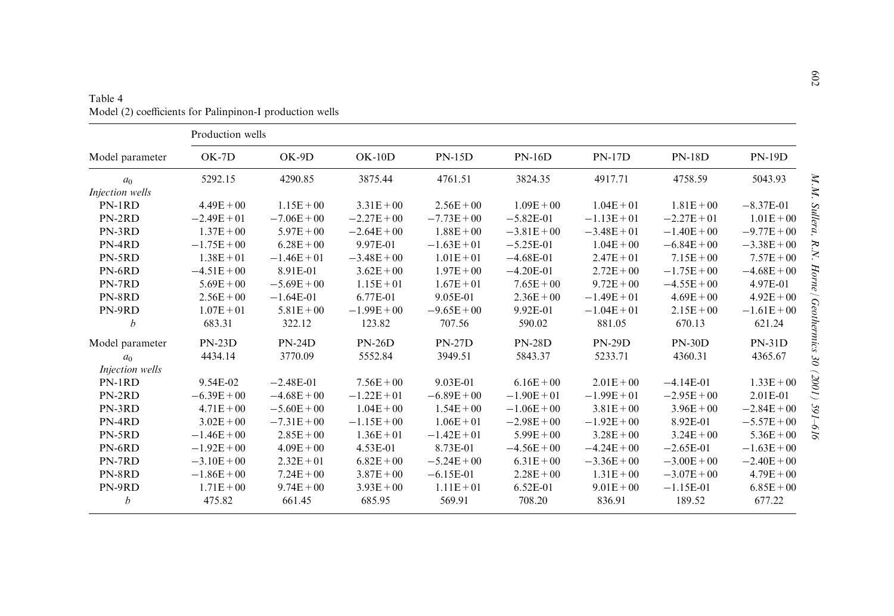|                 | Production wells |               |               |               |               |               |               |               |
|-----------------|------------------|---------------|---------------|---------------|---------------|---------------|---------------|---------------|
| Model parameter | $OK-7D$          | $OK-9D$       | $OK-10D$      | $PN-15D$      | $PN-16D$      | $PN-17D$      | $PN-18D$      | $PN-19D$      |
| a <sub>0</sub>  | 5292.15          | 4290.85       | 3875.44       | 4761.51       | 3824.35       | 4917.71       | 4758.59       | 5043.93       |
| Injection wells |                  |               |               |               |               |               |               |               |
| $PN-1RD$        | $4.49E + 00$     | $1.15E + 00$  | $3.31E + 00$  | $2.56E + 00$  | $1.09E + 00$  | $1.04E + 01$  | $1.81E + 00$  | $-8.37E-01$   |
| PN-2RD          | $-2.49E + 01$    | $-7.06E + 00$ | $-2.27E + 00$ | $-7.73E + 00$ | $-5.82E-01$   | $-1.13E + 01$ | $-2.27E + 01$ | $1.01E + 00$  |
| PN-3RD          | $1.37E + 00$     | $5.97E + 00$  | $-2.64E + 00$ | $1.88E + 00$  | $-3.81E + 00$ | $-3.48E + 01$ | $-1.40E + 00$ | $-9.77E + 00$ |
| PN-4RD          | $-1.75E + 00$    | $6.28E + 00$  | 9.97E-01      | $-1.63E + 01$ | $-5.25E-01$   | $1.04E + 00$  | $-6.84E + 00$ | $-3.38E + 00$ |
| PN-5RD          | $1.38E + 01$     | $-1.46E + 01$ | $-3.48E + 00$ | $1.01E + 01$  | $-4.68E-01$   | $2.47E + 01$  | $7.15E + 00$  | $7.57E + 00$  |
| PN-6RD          | $-4.51E + 00$    | 8.91E-01      | $3.62E + 00$  | $1.97E + 00$  | $-4.20E-01$   | $2.72E + 00$  | $-1.75E + 00$ | $-4.68E + 00$ |
| PN-7RD          | $5.69E + 00$     | $-5.69E + 00$ | $1.15E + 01$  | $1.67E + 01$  | $7.65E + 00$  | $9.72E + 00$  | $-4.55E + 00$ | 4.97E-01      |
| PN-8RD          | $2.56E + 00$     | $-1.64E-01$   | 6.77E-01      | 9.05E-01      | $2.36E + 00$  | $-1.49E + 01$ | $4.69E + 00$  | $4.92E + 00$  |
| PN-9RD          | $1.07E + 01$     | $5.81E + 00$  | $-1.99E + 00$ | $-9.65E + 00$ | 9.92E-01      | $-1.04E + 01$ | $2.15E + 00$  | $-1.61E + 00$ |
| b               | 683.31           | 322.12        | 123.82        | 707.56        | 590.02        | 881.05        | 670.13        | 621.24        |
| Model parameter | $PN-23D$         | $PN-24D$      | $PN-26D$      | $PN-27D$      | $PN-28D$      | $PN-29D$      | $PN-30D$      | $PN-31D$      |
| a <sub>0</sub>  | 4434.14          | 3770.09       | 5552.84       | 3949.51       | 5843.37       | 5233.71       | 4360.31       | 4365.67       |
| Injection wells |                  |               |               |               |               |               |               |               |
| $PN-1RD$        | 9.54E-02         | $-2.48E-01$   | $7.56E + 00$  | 9.03E-01      | $6.16E + 00$  | $2.01E + 00$  | $-4.14E-01$   | $1.33E + 00$  |
| PN-2RD          | $-6.39E + 00$    | $-4.68E + 00$ | $-1.22E + 01$ | $-6.89E + 00$ | $-1.90E + 01$ | $-1.99E + 01$ | $-2.95E + 00$ | 2.01E-01      |
| PN-3RD          | $4.71E + 00$     | $-5.60E + 00$ | $1.04E + 00$  | $1.54E + 00$  | $-1.06E + 00$ | $3.81E + 00$  | $3.96E + 00$  | $-2.84E + 00$ |
| PN-4RD          | $3.02E + 00$     | $-7.31E + 00$ | $-1.15E + 00$ | $1.06E + 01$  | $-2.98E + 00$ | $-1.92E + 00$ | 8.92E-01      | $-5.57E + 00$ |
| PN-5RD          | $-1.46E + 00$    | $2.85E + 00$  | $1.36E + 01$  | $-1.42E + 01$ | $5.99E + 00$  | $3.28E + 00$  | $3.24E + 00$  | $5.36E + 00$  |
| PN-6RD          | $-1.92E + 00$    | $4.09E + 00$  | 4.53E-01      | 8.73E-01      | $-4.56E + 00$ | $-4.24E + 00$ | $-2.65E-01$   | $-1.63E + 00$ |
| PN-7RD          | $-3.10E + 00$    | $2.32E + 01$  | $6.82E + 00$  | $-5.24E + 00$ | $6.31E + 00$  | $-3.36E + 00$ | $-3.00E + 00$ | $-2.40E + 00$ |
| PN-8RD          | $-1.86E + 00$    | $7.24E + 00$  | $3.87E + 00$  | $-6.15E-01$   | $2.28E + 00$  | $1.31E + 00$  | $-3.07E + 00$ | $4.79E + 00$  |
| PN-9RD          | $1.71E + 00$     | $9.74E + 00$  | $3.93E + 00$  | $1.11E + 01$  | $6.52E-01$    | $9.01E + 00$  | $-1.15E-01$   | $6.85E + 00$  |
| b               | 475.82           | 661.45        | 685.95        | 569.91        | 708.20        | 836.91        | 189.52        | 677.22        |

# Table 4 Model (2) coefficients for Palinpinon-I production wells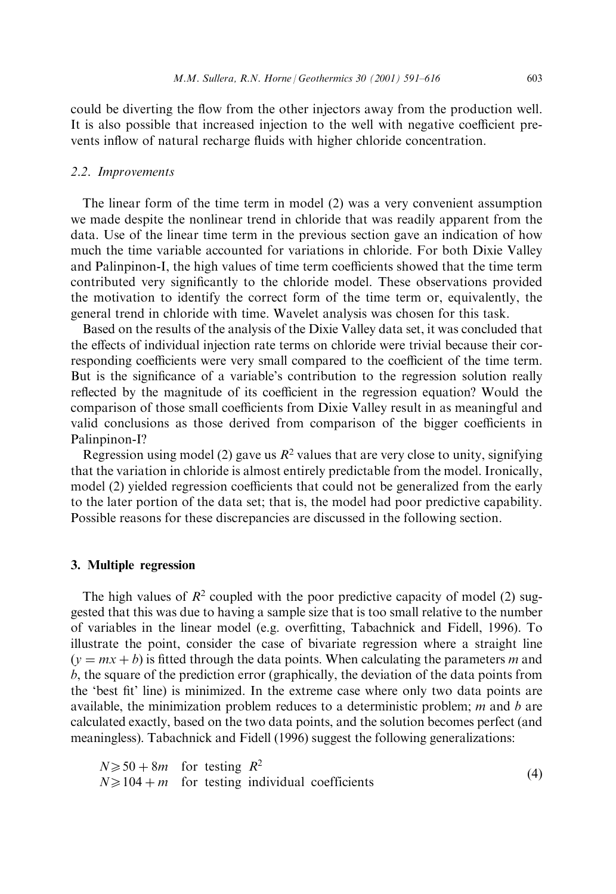could be diverting the flow from the other injectors away from the production well. It is also possible that increased injection to the well with negative coefficient prevents inflow of natural recharge fluids with higher chloride concentration.

#### 2.2. Improvements

The linear form of the time term in model (2) was a very convenient assumption we made despite the nonlinear trend in chloride that was readily apparent from the data. Use of the linear time term in the previous section gave an indication of how much the time variable accounted for variations in chloride. For both Dixie Valley and Palinpinon-I, the high values of time term coefficients showed that the time term contributed very significantly to the chloride model. These observations provided the motivation to identify the correct form of the time term or, equivalently, the general trend in chloride with time. Wavelet analysis was chosen for this task.

Based on the results of the analysis of the Dixie Valley data set, it was concluded that the effects of individual injection rate terms on chloride were trivial because their corresponding coefficients were very small compared to the coefficient of the time term. But is the significance of a variable's contribution to the regression solution really reflected by the magnitude of its coefficient in the regression equation? Would the comparison of those small coefficients from Dixie Valley result in as meaningful and valid conclusions as those derived from comparison of the bigger coefficients in Palinpinon-I?

Regression using model (2) gave us  $R^2$  values that are very close to unity, signifying that the variation in chloride is almost entirely predictable from the model. Ironically, model (2) yielded regression coefficients that could not be generalized from the early to the later portion of the data set; that is, the model had poor predictive capability. Possible reasons for these discrepancies are discussed in the following section.

#### 3. Multiple regression

The high values of  $\mathbb{R}^2$  coupled with the poor predictive capacity of model (2) suggested that this was due to having a sample size that is too small relative to the number of variables in the linear model (e.g. overfitting, Tabachnick and Fidell, 1996). To illustrate the point, consider the case of bivariate regression where a straight line  $(y = mx + b)$  is fitted through the data points. When calculating the parameters m and b, the square of the prediction error (graphically, the deviation of the data points from the 'best fit' line) is minimized. In the extreme case where only two data points are available, the minimization problem reduces to a deterministic problem;  $m$  and  $b$  are calculated exactly, based on the two data points, and the solution becomes perfect (and meaningless). Tabachnick and Fidell (1996) suggest the following generalizations:

$$
N \ge 50 + 8m
$$
 for testing  $R^2$   

$$
N \ge 104 + m
$$
 for testing individual coefficients (4)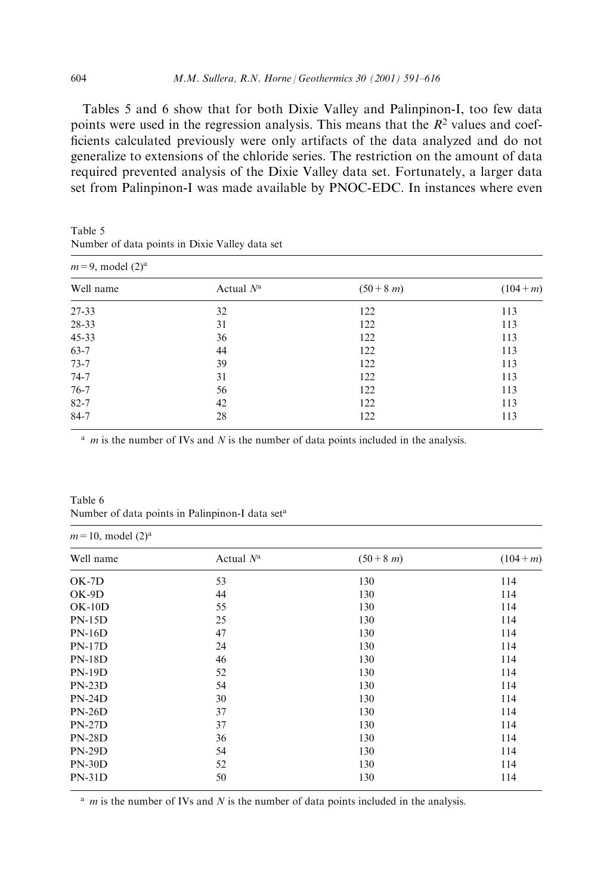Tables 5 and 6 show that for both Dixie Valley and Palinpinon-I, too few data points were used in the regression analysis. This means that the  $R<sup>2</sup>$  values and coefficients calculated previously were only artifacts of the data analyzed and do not generalize to extensions of the chloride series. The restriction on the amount of data required prevented analysis of the Dixie Valley data set. Fortunately, a larger data set from Palinpinon-I was made available by PNOC-EDC. In instances where even

| $m=9$ , model $(2)^a$ |              |              |             |  |
|-----------------------|--------------|--------------|-------------|--|
| Well name             | Actual $N^a$ | $(50 + 8 m)$ | $(104 + m)$ |  |
| $27 - 33$             | 32           | 122          | 113         |  |
| 28-33                 | 31           | 122          | 113         |  |
| $45 - 33$             | 36           | 122          | 113         |  |
| $63 - 7$              | 44           | 122          | 113         |  |
| $73 - 7$              | 39           | 122          | 113         |  |
| $74 - 7$              | 31           | 122          | 113         |  |
| $76 - 7$              | 56           | 122          | 113         |  |
| $82 - 7$              | 42           | 122          | 113         |  |
| $84 - 7$              | 28           | 122          | 113         |  |

Table 5 Number of data points in Dixie Valley data set

 $\alpha$  m is the number of IVs and N is the number of data points included in the analysis.

| $m = 10$ , model $(2)^a$ |              |             |  |  |
|--------------------------|--------------|-------------|--|--|
| Actual $N^a$             | $(50 + 8 m)$ | $(104 + m)$ |  |  |
| 53                       | 130          | 114         |  |  |
| 44                       | 130          | 114         |  |  |
| 55                       | 130          | 114         |  |  |
| 25                       | 130          | 114         |  |  |
| 47                       | 130          | 114         |  |  |
| 24                       | 130          | 114         |  |  |
| 46                       | 130          | 114         |  |  |
| 52                       | 130          | 114         |  |  |
| 54                       | 130          | 114         |  |  |
| 30                       | 130          | 114         |  |  |
| 37                       | 130          | 114         |  |  |
| 37                       | 130          | 114         |  |  |
| 36                       | 130          | 114         |  |  |
| 54                       | 130          | 114         |  |  |
| 52                       | 130          | 114         |  |  |
| 50                       | 130          | 114         |  |  |
|                          |              |             |  |  |

Table 6 Number of data points in Palinpinon-I data seta

 $^{\text{a}}$  *m* is the number of IVs and *N* is the number of data points included in the analysis.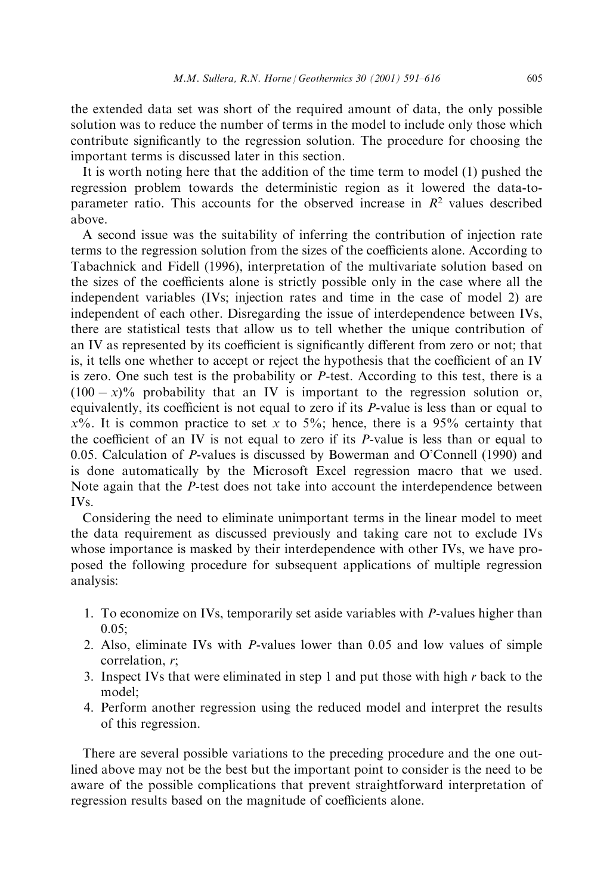the extended data set was short of the required amount of data, the only possible solution was to reduce the number of terms in the model to include only those which contribute significantly to the regression solution. The procedure for choosing the important terms is discussed later in this section.

It is worth noting here that the addition of the time term to model (1) pushed the regression problem towards the deterministic region as it lowered the data-toparameter ratio. This accounts for the observed increase in  $R<sup>2</sup>$  values described above.

A second issue was the suitability of inferring the contribution of injection rate terms to the regression solution from the sizes of the coefficients alone. According to Tabachnick and Fidell (1996), interpretation of the multivariate solution based on the sizes of the coefficients alone is strictly possible only in the case where all the independent variables (IVs; injection rates and time in the case of model 2) are independent of each other. Disregarding the issue of interdependence between IVs, there are statistical tests that allow us to tell whether the unique contribution of an IV as represented by its coefficient is significantly different from zero or not; that is, it tells one whether to accept or reject the hypothesis that the coefficient of an IV is zero. One such test is the probability or P-test. According to this test, there is a  $(100 - x)\%$  probability that an IV is important to the regression solution or, equivalently, its coefficient is not equal to zero if its P-value is less than or equal to  $x\%$ . It is common practice to set x to 5%; hence, there is a 95% certainty that the coefficient of an IV is not equal to zero if its P-value is less than or equal to 0.05. Calculation of P-values is discussed by Bowerman and O'Connell (1990) and is done automatically by the Microsoft Excel regression macro that we used. Note again that the P-test does not take into account the interdependence between IVs.

Considering the need to eliminate unimportant terms in the linear model to meet the data requirement as discussed previously and taking care not to exclude IVs whose importance is masked by their interdependence with other IVs, we have proposed the following procedure for subsequent applications of multiple regression analysis:

- 1. To economize on IVs, temporarily set aside variables with P-values higher than 0.05;
- 2. Also, eliminate IVs with P-values lower than 0.05 and low values of simple correlation, r;
- 3. Inspect IVs that were eliminated in step 1 and put those with high  $r$  back to the model;
- 4. Perform another regression using the reduced model and interpret the results of this regression.

There are several possible variations to the preceding procedure and the one outlined above may not be the best but the important point to consider is the need to be aware of the possible complications that prevent straightforward interpretation of regression results based on the magnitude of coefficients alone.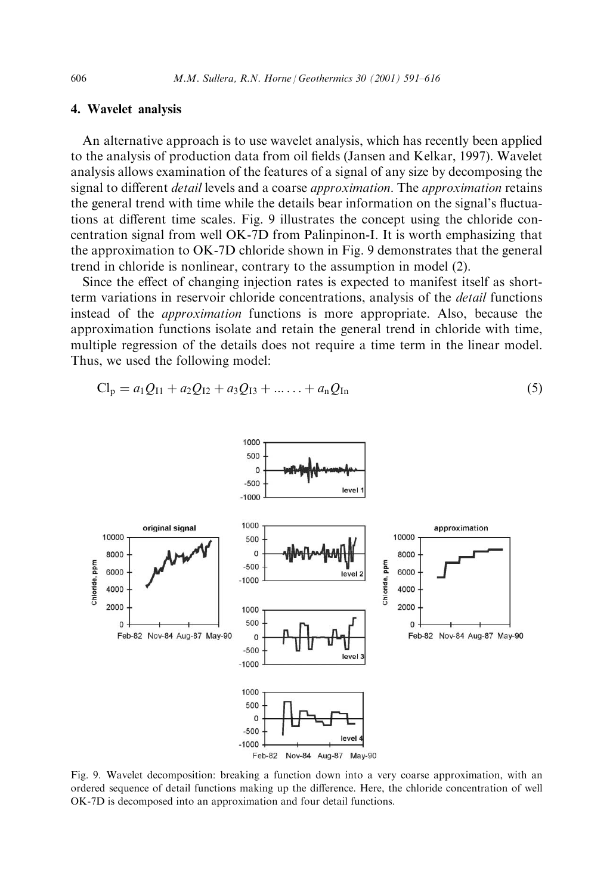# 4. Wavelet analysis

An alternative approach is to use wavelet analysis, which has recently been applied to the analysis of production data from oil fields (Jansen and Kelkar, 1997). Wavelet analysis allows examination of the features of a signal of any size by decomposing the signal to different *detail* levels and a coarse *approximation*. The *approximation* retains the general trend with time while the details bear information on the signal's fluctuations at different time scales. Fig. 9 illustrates the concept using the chloride concentration signal from well OK-7D from Palinpinon-I. It is worth emphasizing that the approximation to OK-7D chloride shown in Fig. 9 demonstrates that the general trend in chloride is nonlinear, contrary to the assumption in model (2).

Since the effect of changing injection rates is expected to manifest itself as shortterm variations in reservoir chloride concentrations, analysis of the detail functions instead of the approximation functions is more appropriate. Also, because the approximation functions isolate and retain the general trend in chloride with time, multiple regression of the details does not require a time term in the linear model. Thus, we used the following model:

$$
Cl_p = a_1 Q_{I1} + a_2 Q_{I2} + a_3 Q_{I3} + \dots + a_n Q_{In}
$$
 (5)



Fig. 9. Wavelet decomposition: breaking a function down into a very coarse approximation, with an ordered sequence of detail functions making up the difference. Here, the chloride concentration of well OK-7D is decomposed into an approximation and four detail functions.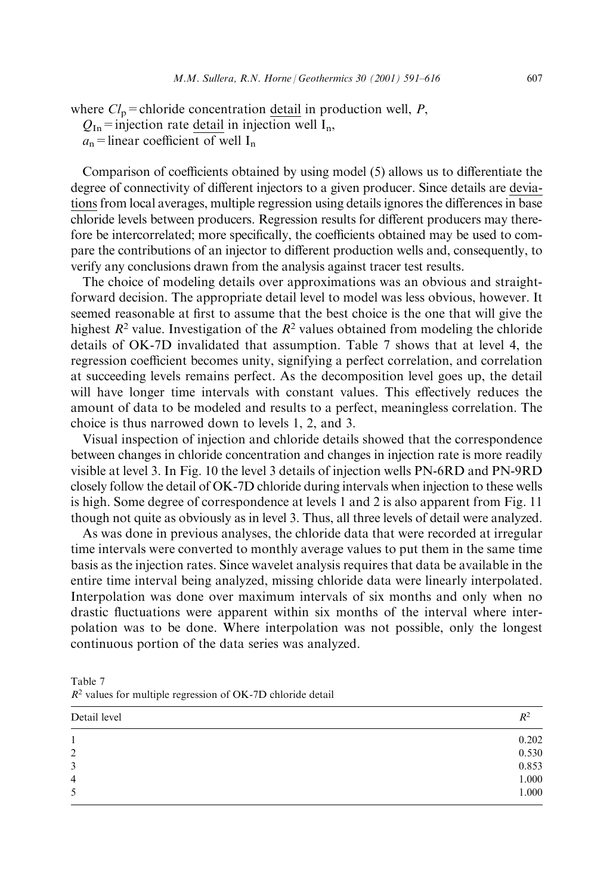where  $Cl_p$  = chloride concentration detail in production well, P,  $Q_{\text{In}}$ =injection rate detail in injection well I<sub>n</sub>,  $a_n$ =linear coefficient of well I<sub>n</sub>

Comparison of coefficients obtained by using model (5) allows us to differentiate the degree of connectivity of different injectors to a given producer. Since details are deviations from local averages, multiple regression using details ignores the differences in base chloride levels between producers. Regression results for different producers may therefore be intercorrelated; more specifically, the coefficients obtained may be used to compare the contributions of an injector to different production wells and, consequently, to verify any conclusions drawn from the analysis against tracer test results.

The choice of modeling details over approximations was an obvious and straightforward decision. The appropriate detail level to model was less obvious, however. It seemed reasonable at first to assume that the best choice is the one that will give the highest  $R^2$  value. Investigation of the  $R^2$  values obtained from modeling the chloride details of OK-7D invalidated that assumption. Table 7 shows that at level 4, the regression coefficient becomes unity, signifying a perfect correlation, and correlation at succeeding levels remains perfect. As the decomposition level goes up, the detail will have longer time intervals with constant values. This effectively reduces the amount of data to be modeled and results to a perfect, meaningless correlation. The choice is thus narrowed down to levels 1, 2, and 3.

Visual inspection of injection and chloride details showed that the correspondence between changes in chloride concentration and changes in injection rate is more readily visible at level 3. In Fig. 10 the level 3 details of injection wells PN-6RD and PN-9RD closely follow the detail of OK-7D chloride during intervals when injection to these wells is high. Some degree of correspondence at levels 1 and 2 is also apparent from Fig. 11 though not quite as obviously as in level 3. Thus, all three levels of detail were analyzed.

As was done in previous analyses, the chloride data that were recorded at irregular time intervals were converted to monthly average values to put them in the same time basis as the injection rates. Since wavelet analysis requires that data be available in the entire time interval being analyzed, missing chloride data were linearly interpolated. Interpolation was done over maximum intervals of six months and only when no drastic fluctuations were apparent within six months of the interval where interpolation was to be done. Where interpolation was not possible, only the longest continuous portion of the data series was analyzed.

Table 7  $R<sup>2</sup>$  values for multiple regression of OK-7D chloride detail

| Detail level   | $R^2$ |
|----------------|-------|
|                | 0.202 |
| 2              | 0.530 |
| 3              | 0.853 |
| $\overline{4}$ | 1.000 |
| 5              | 1.000 |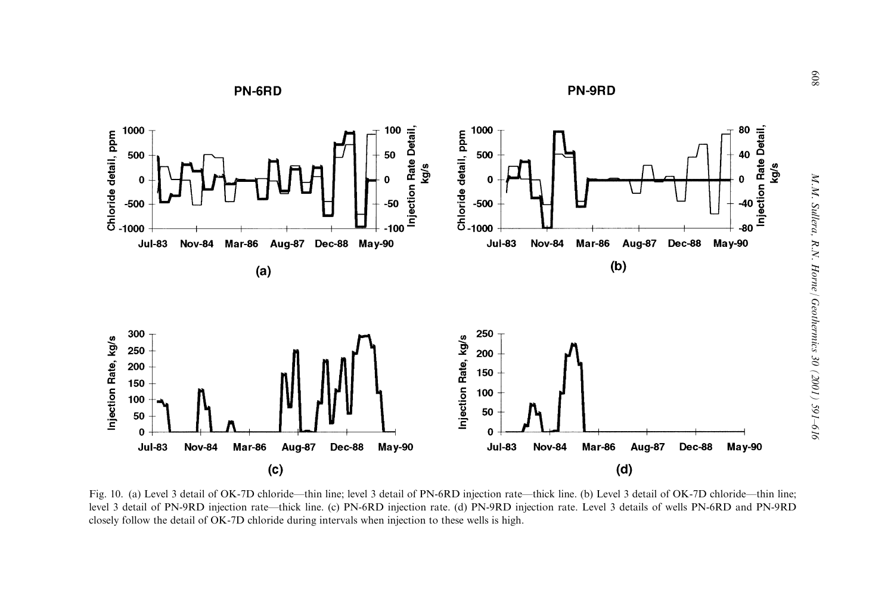

Fig. 10. (a) Level 3 detail of OK-7D chloride—thin line; level 3 detail of PN-6RD injection rate—thick line. (b) Level 3 detail of OK-7D chloride—thin line; level 3 detail of PN-9RD injection rate—thick line. (c) PN-6RD injection rate. (d) PN-9RD injection rate. Level 3 details of wells PN-6RD and PN-9RD closely follow the detail of OK-7D chloride during intervals when injection to these wells is high.

PN-6RD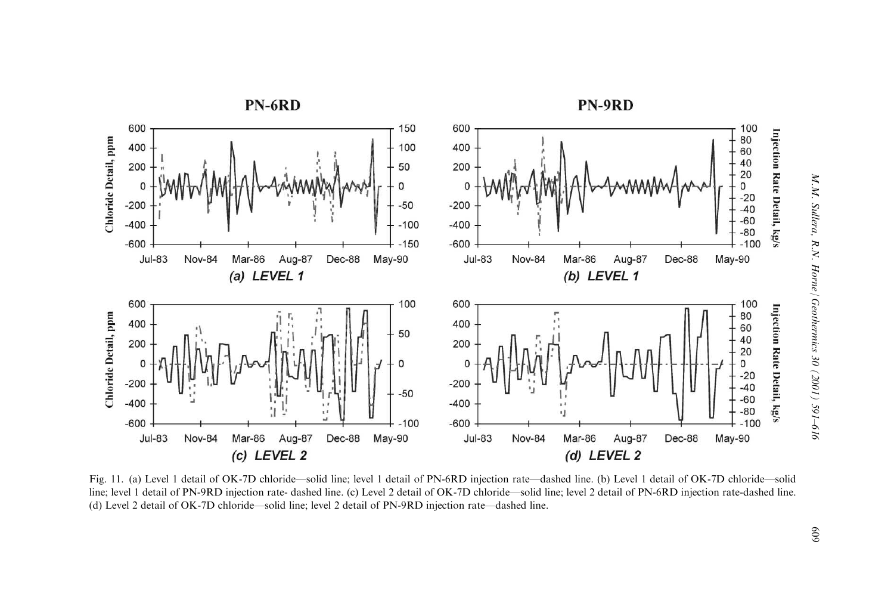

Fig. 11. (a) Level 1 detail of OK-7D chloride—solid line; level 1 detail of PN-6RD injection rate—dashed line. (b) Level 1 detail of OK-7D chloride—solid line; level 1 detail of PN-9RD injection rate- dashed line. (c) Level 2 detail of OK-7D chloride—solid line; level 2 detail of PN-6RD injection rate-dashed line. (d) Level 2 detail of OK-7D chloride—solid line; level 2 detail of PN-9RD injection rate—dashed line.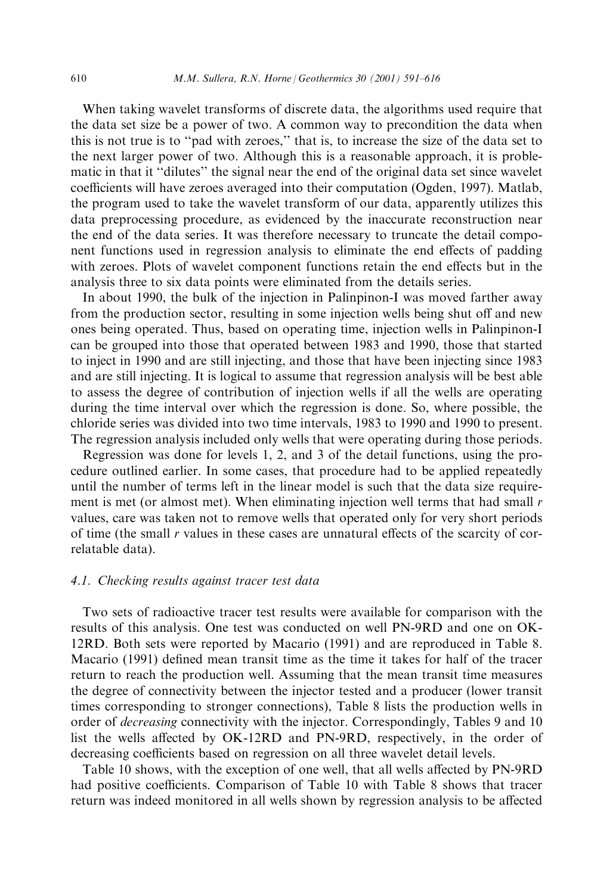When taking wavelet transforms of discrete data, the algorithms used require that the data set size be a power of two. A common way to precondition the data when this is not true is to ''pad with zeroes,'' that is, to increase the size of the data set to the next larger power of two. Although this is a reasonable approach, it is problematic in that it ''dilutes'' the signal near the end of the original data set since wavelet coefficients will have zeroes averaged into their computation (Ogden, 1997). Matlab, the program used to take the wavelet transform of our data, apparently utilizes this data preprocessing procedure, as evidenced by the inaccurate reconstruction near the end of the data series. It was therefore necessary to truncate the detail component functions used in regression analysis to eliminate the end effects of padding with zeroes. Plots of wavelet component functions retain the end effects but in the analysis three to six data points were eliminated from the details series.

In about 1990, the bulk of the injection in Palinpinon-I was moved farther away from the production sector, resulting in some injection wells being shut off and new ones being operated. Thus, based on operating time, injection wells in Palinpinon-I can be grouped into those that operated between 1983 and 1990, those that started to inject in 1990 and are still injecting, and those that have been injecting since 1983 and are still injecting. It is logical to assume that regression analysis will be best able to assess the degree of contribution of injection wells if all the wells are operating during the time interval over which the regression is done. So, where possible, the chloride series was divided into two time intervals, 1983 to 1990 and 1990 to present. The regression analysis included only wells that were operating during those periods.

Regression was done for levels 1, 2, and 3 of the detail functions, using the procedure outlined earlier. In some cases, that procedure had to be applied repeatedly until the number of terms left in the linear model is such that the data size requirement is met (or almost met). When eliminating injection well terms that had small  $r$ values, care was taken not to remove wells that operated only for very short periods of time (the small r values in these cases are unnatural effects of the scarcity of correlatable data).

## 4.1. Checking results against tracer test data

Two sets of radioactive tracer test results were available for comparison with the results of this analysis. One test was conducted on well PN-9RD and one on OK-12RD. Both sets were reported by Macario (1991) and are reproduced in Table 8. Macario (1991) defined mean transit time as the time it takes for half of the tracer return to reach the production well. Assuming that the mean transit time measures the degree of connectivity between the injector tested and a producer (lower transit times corresponding to stronger connections), Table 8 lists the production wells in order of decreasing connectivity with the injector. Correspondingly, Tables 9 and 10 list the wells affected by OK-12RD and PN-9RD, respectively, in the order of decreasing coefficients based on regression on all three wavelet detail levels.

Table 10 shows, with the exception of one well, that all wells affected by PN-9RD had positive coefficients. Comparison of Table 10 with Table 8 shows that tracer return was indeed monitored in all wells shown by regression analysis to be affected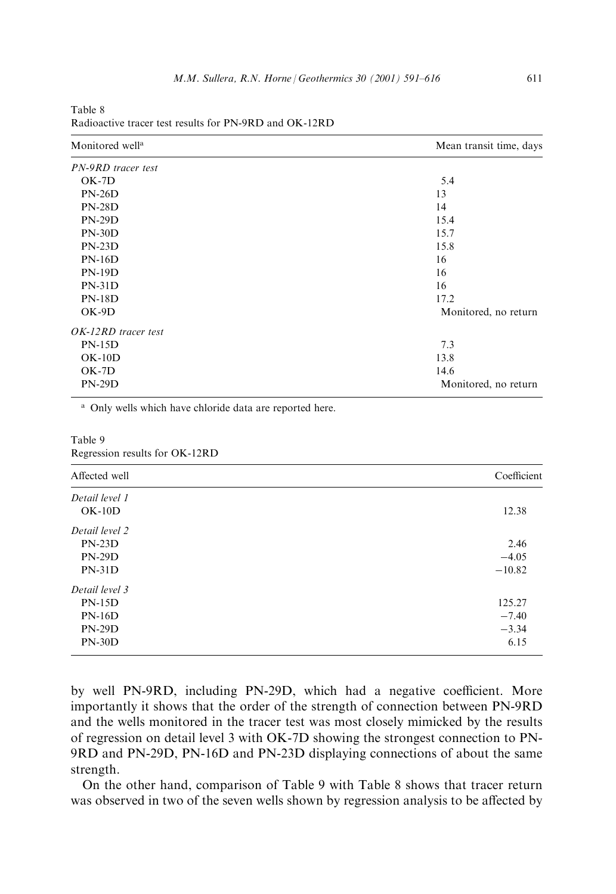Table 8 Radioactive tracer test results for PN-9RD and OK-12RD

| Monitored well <sup>a</sup> | Mean transit time, days |
|-----------------------------|-------------------------|
| PN-9RD tracer test          |                         |
| $OK-7D$                     | 5.4                     |
| $PN-26D$                    | 13                      |
| $PN-28D$                    | 14                      |
| $PN-29D$                    | 15.4                    |
| $PN-30D$                    | 15.7                    |
| $PN-23D$                    | 15.8                    |
| $PN-16D$                    | 16                      |
| $PN-19D$                    | 16                      |
| $PN-31D$                    | 16                      |
| $PN-18D$                    | 17.2                    |
| OK-9D                       | Monitored, no return    |
| OK-12RD tracer test         |                         |
| $PN-15D$                    | 7.3                     |
| $OK-10D$                    | 13.8                    |
| $OK-7D$                     | 14.6                    |
| $PN-29D$                    | Monitored, no return    |

<sup>a</sup> Only wells which have chloride data are reported here.

#### Table 9 Regression results for OK-12RD

| Affected well  | Coefficient |
|----------------|-------------|
| Detail level 1 |             |
| $OK-10D$       | 12.38       |
| Detail level 2 |             |
| $PN-23D$       | 2.46        |
| $PN-29D$       | $-4.05$     |
| $PN-31D$       | $-10.82$    |
| Detail level 3 |             |
| $PN-15D$       | 125.27      |
| $PN-16D$       | $-7.40$     |
| $PN-29D$       | $-3.34$     |
| $PN-30D$       | 6.15        |

by well PN-9RD, including PN-29D, which had a negative coefficient. More importantly it shows that the order of the strength of connection between PN-9RD and the wells monitored in the tracer test was most closely mimicked by the results of regression on detail level 3 with OK-7D showing the strongest connection to PN-9RD and PN-29D, PN-16D and PN-23D displaying connections of about the same strength.

On the other hand, comparison of Table 9 with Table 8 shows that tracer return was observed in two of the seven wells shown by regression analysis to be affected by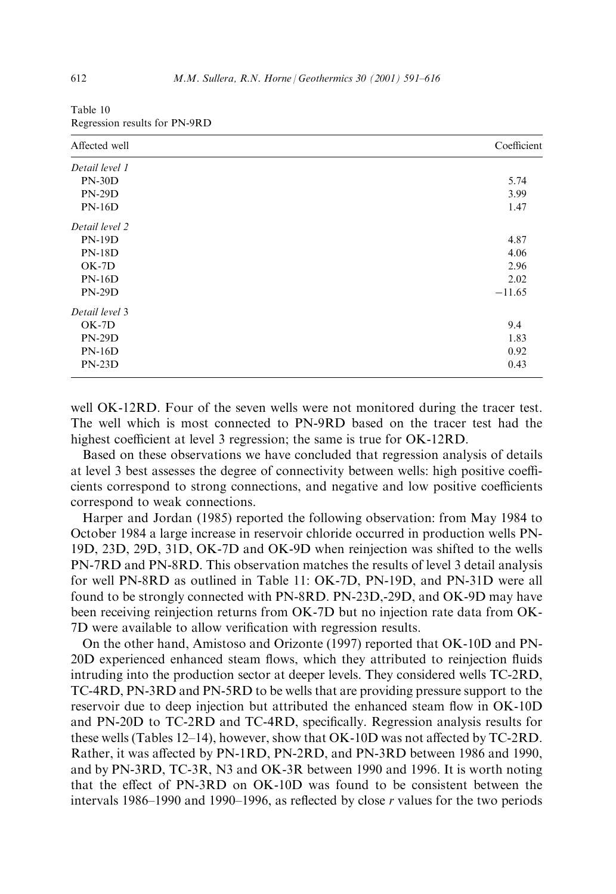| Table 10                      |  |  |
|-------------------------------|--|--|
| Regression results for PN-9RD |  |  |

| Affected well  | Coefficient |
|----------------|-------------|
| Detail level 1 |             |
| $PN-30D$       | 5.74        |
| $PN-29D$       | 3.99        |
| $PN-16D$       | 1.47        |
| Detail level 2 |             |
| $PN-19D$       | 4.87        |
| $PN-18D$       | 4.06        |
| $OK-7D$        | 2.96        |
| $PN-16D$       | 2.02        |
| $PN-29D$       | $-11.65$    |
| Detail level 3 |             |
| $OK-7D$        | 9.4         |
| $PN-29D$       | 1.83        |
| $PN-16D$       | 0.92        |
| $PN-23D$       | 0.43        |

well OK-12RD. Four of the seven wells were not monitored during the tracer test. The well which is most connected to PN-9RD based on the tracer test had the highest coefficient at level 3 regression; the same is true for OK-12RD.

Based on these observations we have concluded that regression analysis of details at level 3 best assesses the degree of connectivity between wells: high positive coefficients correspond to strong connections, and negative and low positive coefficients correspond to weak connections.

Harper and Jordan (1985) reported the following observation: from May 1984 to October 1984 a large increase in reservoir chloride occurred in production wells PN-19D, 23D, 29D, 31D, OK-7D and OK-9D when reinjection was shifted to the wells PN-7RD and PN-8RD. This observation matches the results of level 3 detail analysis for well PN-8RD as outlined in Table 11: OK-7D, PN-19D, and PN-31D were all found to be strongly connected with PN-8RD. PN-23D,-29D, and OK-9D may have been receiving reinjection returns from OK-7D but no injection rate data from OK-7D were available to allow verification with regression results.

On the other hand, Amistoso and Orizonte (1997) reported that OK-10D and PN-20D experienced enhanced steam flows, which they attributed to reinjection fluids intruding into the production sector at deeper levels. They considered wells TC-2RD, TC-4RD, PN-3RD and PN-5RD to be wells that are providing pressure support to the reservoir due to deep injection but attributed the enhanced steam flow in OK-10D and PN-20D to TC-2RD and TC-4RD, specifically. Regression analysis results for these wells (Tables 12–14), however, show that OK-10D was not affected by TC-2RD. Rather, it was affected by PN-1RD, PN-2RD, and PN-3RD between 1986 and 1990, and by PN-3RD, TC-3R, N3 and OK-3R between 1990 and 1996. It is worth noting that the effect of PN-3RD on OK-10D was found to be consistent between the intervals 1986–1990 and 1990–1996, as reflected by close r values for the two periods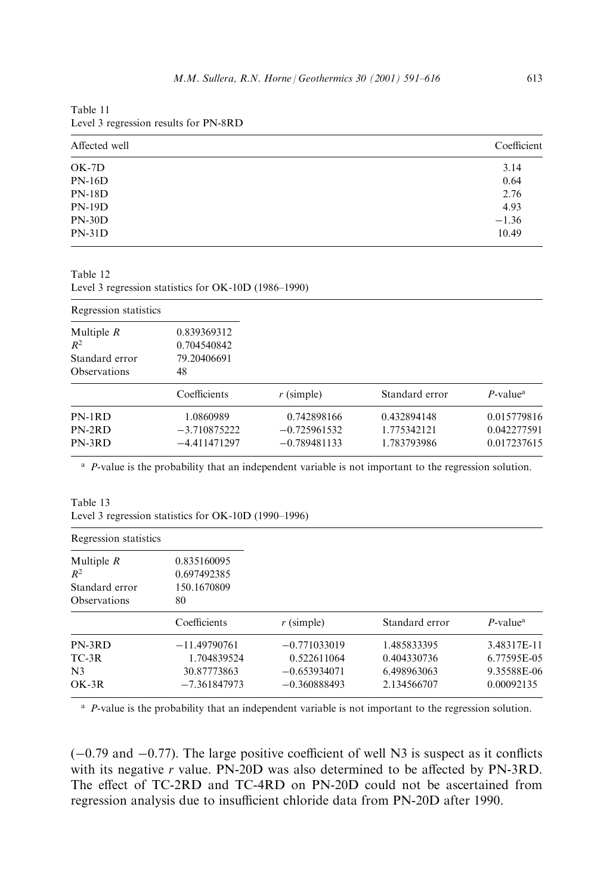Table 11 Level 3 regression results for PN-8RD

| Affected well | Coefficient |
|---------------|-------------|
| $OK-7D$       | 3.14        |
| $PN-16D$      | 0.64        |
| $PN-18D$      | 2.76        |
| $PN-19D$      | 4.93        |
| $PN-30D$      | $-1.36$     |
| $PN-31D$      | 10.49       |

Table 12

Level 3 regression statistics for OK-10D (1986–1990)

| Regression statistics                          |                |                |                |                                      |
|------------------------------------------------|----------------|----------------|----------------|--------------------------------------|
| Multiple $R$                                   | 0.839369312    |                |                |                                      |
| $R^2$<br>Standard error<br><b>Observations</b> | 0.704540842    |                |                |                                      |
|                                                | 79.20406691    |                |                |                                      |
|                                                | 48             |                |                |                                      |
|                                                | Coefficients   | $r$ (simple)   | Standard error | $P$ -value <sup><math>a</math></sup> |
| PN-1RD                                         | 1.0860989      | 0.742898166    | 0.432894148    | 0.015779816                          |
| PN-2RD                                         | $-3.710875222$ | $-0.725961532$ | 1.775342121    | 0.042277591                          |
| PN-3RD                                         | $-4.411471297$ | $-0.789481133$ | 1.783793986    | 0.017237615                          |

<sup>a</sup> P-value is the probability that an independent variable is not important to the regression solution.

| Table 13                                               |  |
|--------------------------------------------------------|--|
| Level 3 regression statistics for OK-10D $(1990-1996)$ |  |

| Regression statistics                          |                                                                |                                                                   |                                                          |                                                         |
|------------------------------------------------|----------------------------------------------------------------|-------------------------------------------------------------------|----------------------------------------------------------|---------------------------------------------------------|
| Multiple $R$<br>$R^2$<br>Standard error        | 0.835160095<br>0.697492385<br>150.1670809                      |                                                                   |                                                          |                                                         |
| <b>Observations</b>                            | 80<br>Coefficients                                             | $r$ (simple)                                                      | Standard error                                           | $P$ -value <sup>a</sup>                                 |
| PN-3RD<br>$TC-3R$<br>N <sub>3</sub><br>$OK-3R$ | $-11.49790761$<br>1.704839524<br>30.87773863<br>$-7.361847973$ | $-0.771033019$<br>0.522611064<br>$-0.653934071$<br>$-0.360888493$ | 1.485833395<br>0.404330736<br>6.498963063<br>2.134566707 | 3.48317E-11<br>6.77595E-05<br>9.35588E-06<br>0.00092135 |

<sup>a</sup> P-value is the probability that an independent variable is not important to the regression solution.

 $(-0.79$  and  $-0.77)$ . The large positive coefficient of well N3 is suspect as it conflicts with its negative r value. PN-20D was also determined to be affected by PN-3RD. The effect of TC-2RD and TC-4RD on PN-20D could not be ascertained from regression analysis due to insufficient chloride data from PN-20D after 1990.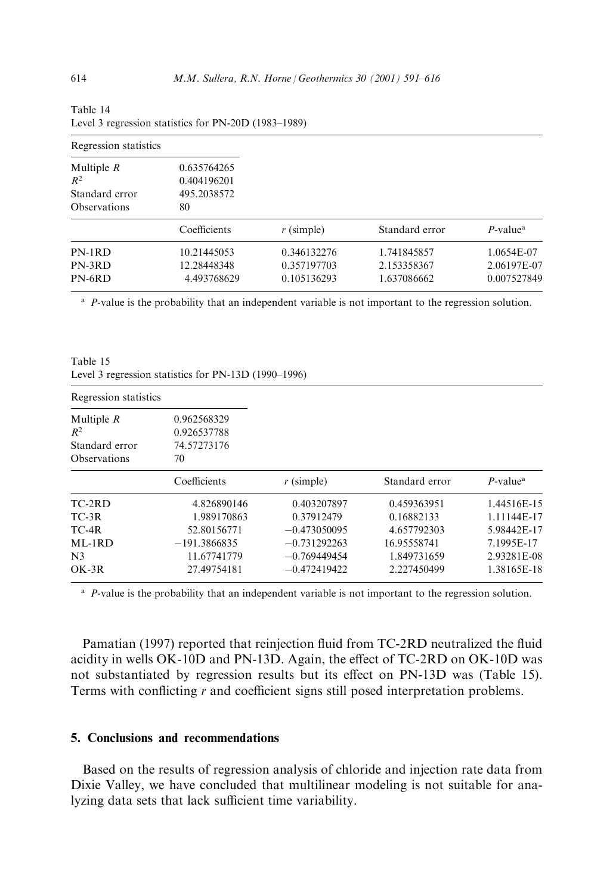| Regression statistics                          |              |              |                |                         |
|------------------------------------------------|--------------|--------------|----------------|-------------------------|
| Multiple $R$                                   | 0.635764265  |              |                |                         |
| $R^2$<br>Standard error<br><b>Observations</b> | 0.404196201  |              |                |                         |
|                                                | 495.2038572  |              |                |                         |
|                                                | 80           |              |                |                         |
|                                                | Coefficients | $r$ (simple) | Standard error | $P$ -value <sup>a</sup> |
| PN-1RD                                         | 10.21445053  | 0.346132276  | 1.741845857    | 1.0654E-07              |
| PN-3RD                                         | 12.28448348  | 0.357197703  | 2.153358367    | 2.06197E-07             |
| PN-6RD                                         | 4.493768629  | 0.105136293  | 1.637086662    | 0.007527849             |

Table 14 Level 3 regression statistics for PN-20D (1983–1989)

<sup>a</sup> P-value is the probability that an independent variable is not important to the regression solution.

Table 15 Level 3 regression statistics for PN-13D (1990–1996)

| Regression statistics |                |                |                |                                      |
|-----------------------|----------------|----------------|----------------|--------------------------------------|
| Multiple $R$          | 0.962568329    |                |                |                                      |
| $R^2$                 | 0.926537788    |                |                |                                      |
| Standard error        | 74.57273176    |                |                |                                      |
| <b>Observations</b>   | 70             |                |                |                                      |
|                       | Coefficients   | $r$ (simple)   | Standard error | $P$ -value <sup><math>a</math></sup> |
| TC-2RD                | 4.826890146    | 0.403207897    | 0.459363951    | 1.44516E-15                          |
| $TC-3R$               | 1.989170863    | 0.37912479     | 0.16882133     | 1.11144E-17                          |
| $TC-4R$               | 52.80156771    | $-0.473050095$ | 4.657792303    | 5.98442E-17                          |
| $MI-1RD$              | $-191.3866835$ | $-0.731292263$ | 16.95558741    | 7.1995E-17                           |
| N <sub>3</sub>        | 11.67741779    | $-0.769449454$ | 1.849731659    | 2.93281E-08                          |
| $OK-3R$               | 27.49754181    | $-0.472419422$ | 2.227450499    | 1.38165E-18                          |

<sup>a</sup> *P*-value is the probability that an independent variable is not important to the regression solution.

Pamatian (1997) reported that reinjection fluid from TC-2RD neutralized the fluid acidity in wells OK-10D and PN-13D. Again, the effect of TC-2RD on OK-10D was not substantiated by regression results but its effect on PN-13D was (Table 15). Terms with conflicting r and coefficient signs still posed interpretation problems.

# 5. Conclusions and recommendations

Based on the results of regression analysis of chloride and injection rate data from Dixie Valley, we have concluded that multilinear modeling is not suitable for analyzing data sets that lack sufficient time variability.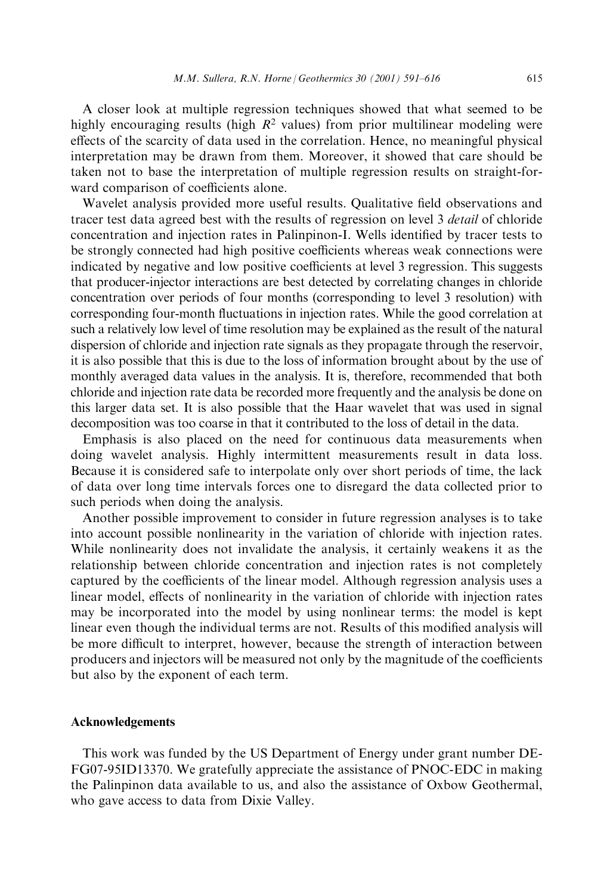A closer look at multiple regression techniques showed that what seemed to be highly encouraging results (high  $R^2$  values) from prior multilinear modeling were effects of the scarcity of data used in the correlation. Hence, no meaningful physical interpretation may be drawn from them. Moreover, it showed that care should be taken not to base the interpretation of multiple regression results on straight-forward comparison of coefficients alone.

Wavelet analysis provided more useful results. Qualitative field observations and tracer test data agreed best with the results of regression on level 3 detail of chloride concentration and injection rates in Palinpinon-I. Wells identified by tracer tests to be strongly connected had high positive coefficients whereas weak connections were indicated by negative and low positive coefficients at level 3 regression. This suggests that producer-injector interactions are best detected by correlating changes in chloride concentration over periods of four months (corresponding to level 3 resolution) with corresponding four-month fluctuations in injection rates. While the good correlation at such a relatively low level of time resolution may be explained as the result of the natural dispersion of chloride and injection rate signals as they propagate through the reservoir, it is also possible that this is due to the loss of information brought about by the use of monthly averaged data values in the analysis. It is, therefore, recommended that both chloride and injection rate data be recorded more frequently and the analysis be done on this larger data set. It is also possible that the Haar wavelet that was used in signal decomposition was too coarse in that it contributed to the loss of detail in the data.

Emphasis is also placed on the need for continuous data measurements when doing wavelet analysis. Highly intermittent measurements result in data loss. Because it is considered safe to interpolate only over short periods of time, the lack of data over long time intervals forces one to disregard the data collected prior to such periods when doing the analysis.

Another possible improvement to consider in future regression analyses is to take into account possible nonlinearity in the variation of chloride with injection rates. While nonlinearity does not invalidate the analysis, it certainly weakens it as the relationship between chloride concentration and injection rates is not completely captured by the coefficients of the linear model. Although regression analysis uses a linear model, effects of nonlinearity in the variation of chloride with injection rates may be incorporated into the model by using nonlinear terms: the model is kept linear even though the individual terms are not. Results of this modified analysis will be more difficult to interpret, however, because the strength of interaction between producers and injectors will be measured not only by the magnitude of the coefficients but also by the exponent of each term.

## Acknowledgements

This work was funded by the US Department of Energy under grant number DE-FG07-95ID13370. We gratefully appreciate the assistance of PNOC-EDC in making the Palinpinon data available to us, and also the assistance of Oxbow Geothermal, who gave access to data from Dixie Valley.